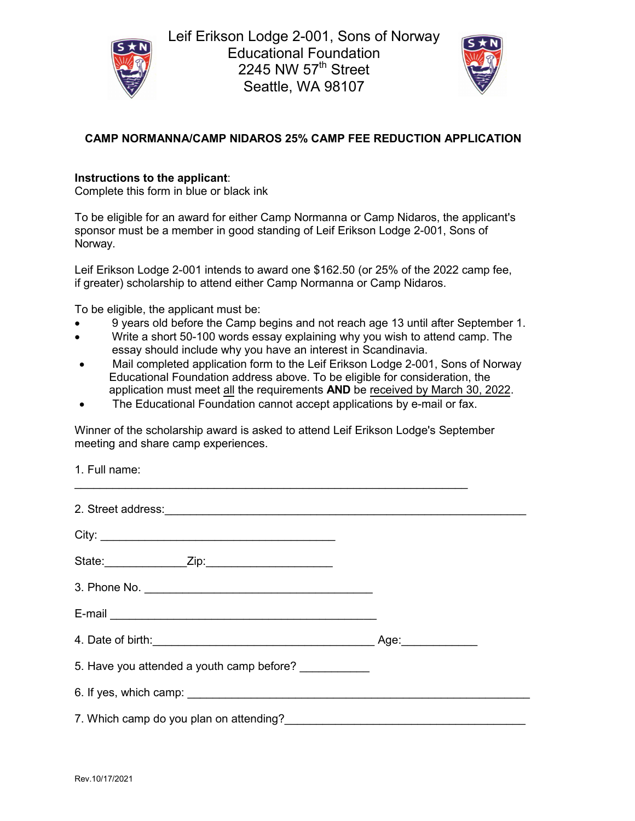



## **CAMP NORMANNA/CAMP NIDAROS 25% CAMP FEE REDUCTION APPLICATION**

## **Instructions to the applicant**:

Complete this form in blue or black ink

To be eligible for an award for either Camp Normanna or Camp Nidaros, the applicant's sponsor must be a member in good standing of Leif Erikson Lodge 2-001, Sons of Norway.

Leif Erikson Lodge 2-001 intends to award one \$162.50 (or 25% of the 2022 camp fee, if greater) scholarship to attend either Camp Normanna or Camp Nidaros.

To be eligible, the applicant must be:

- 9 years old before the Camp begins and not reach age 13 until after September 1.
- Write a short 50-100 words essay explaining why you wish to attend camp. The essay should include why you have an interest in Scandinavia.
- Mail completed application form to the Leif Erikson Lodge 2-001, Sons of Norway Educational Foundation address above. To be eligible for consideration, the application must meet all the requirements **AND** be received by March 30, 2022.
- The Educational Foundation cannot accept applications by e-mail or fax.

Winner of the scholarship award is asked to attend Leif Erikson Lodge's September meeting and share camp experiences.

| 1. Full name:                                                                                                                                                                                                                        |  |
|--------------------------------------------------------------------------------------------------------------------------------------------------------------------------------------------------------------------------------------|--|
| 2. Street address: <u>contract and the set of the set of the set of the set of the set of the set of the set of the set of the set of the set of the set of the set of the set of the set of the set of the set of the set of th</u> |  |
|                                                                                                                                                                                                                                      |  |
|                                                                                                                                                                                                                                      |  |
|                                                                                                                                                                                                                                      |  |
|                                                                                                                                                                                                                                      |  |
|                                                                                                                                                                                                                                      |  |
| 5. Have you attended a youth camp before? ___________                                                                                                                                                                                |  |
|                                                                                                                                                                                                                                      |  |
| 7. Which camp do you plan on attending?<br>The manuscription and the contract of the campus of the value of the contract of the contract of the contract o                                                                           |  |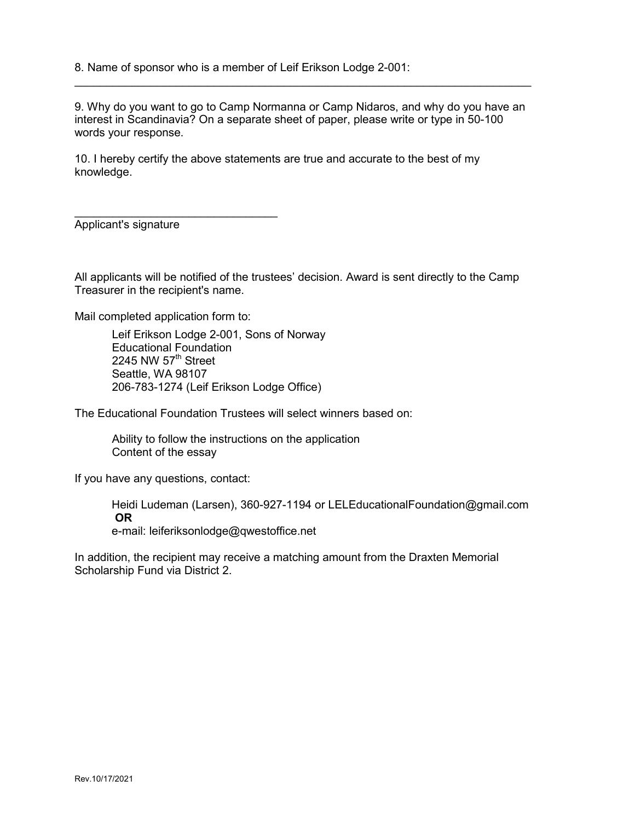8. Name of sponsor who is a member of Leif Erikson Lodge 2-001:

9. Why do you want to go to Camp Normanna or Camp Nidaros, and why do you have an interest in Scandinavia? On a separate sheet of paper, please write or type in 50-100 words your response.

 $\_$  ,  $\_$  ,  $\_$  ,  $\_$  ,  $\_$  ,  $\_$  ,  $\_$  ,  $\_$  ,  $\_$  ,  $\_$  ,  $\_$  ,  $\_$  ,  $\_$  ,  $\_$  ,  $\_$  ,  $\_$  ,  $\_$  ,  $\_$  ,  $\_$  ,  $\_$  ,  $\_$  ,  $\_$  ,  $\_$  ,  $\_$  ,  $\_$  ,  $\_$  ,  $\_$  ,  $\_$  ,  $\_$  ,  $\_$  ,  $\_$  ,  $\_$  ,  $\_$  ,  $\_$  ,  $\_$  ,  $\_$  ,  $\_$  ,

10. I hereby certify the above statements are true and accurate to the best of my knowledge.

\_\_\_\_\_\_\_\_\_\_\_\_\_\_\_\_\_\_\_\_\_\_\_\_\_\_\_\_\_\_\_\_ Applicant's signature

All applicants will be notified of the trustees' decision. Award is sent directly to the Camp Treasurer in the recipient's name.

Mail completed application form to:

Leif Erikson Lodge 2-001, Sons of Norway Educational Foundation 2245 NW  $57<sup>th</sup>$  Street Seattle, WA 98107 206-783-1274 (Leif Erikson Lodge Office)

The Educational Foundation Trustees will select winners based on:

Ability to follow the instructions on the application Content of the essay

If you have any questions, contact:

Heidi Ludeman (Larsen), 360-927-1194 or LELEducationalFoundation@gmail.com **OR** 

e-mail: leiferiksonlodge@qwestoffice.net

In addition, the recipient may receive a matching amount from the Draxten Memorial Scholarship Fund via District 2.